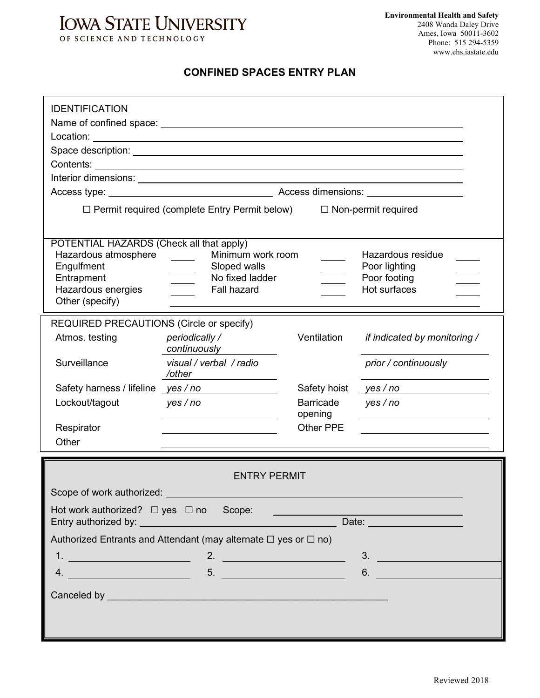## **IOWA STATE UNIVERSITY** OF SCIENCE AND TECHNOLOGY

## **CONFINED SPACES ENTRY PLAN**

| <b>IDENTIFICATION</b>                                                                                                                                                                                                                                                                                                  |                                                                                                                                                                                                                                |                             |                                                                    |
|------------------------------------------------------------------------------------------------------------------------------------------------------------------------------------------------------------------------------------------------------------------------------------------------------------------------|--------------------------------------------------------------------------------------------------------------------------------------------------------------------------------------------------------------------------------|-----------------------------|--------------------------------------------------------------------|
|                                                                                                                                                                                                                                                                                                                        |                                                                                                                                                                                                                                |                             |                                                                    |
|                                                                                                                                                                                                                                                                                                                        | $\Box$ Permit required (complete Entry Permit below) $\Box$ Non-permit required                                                                                                                                                |                             |                                                                    |
| POTENTIAL HAZARDS (Check all that apply)<br>Hazardous atmosphere<br>Engulfment<br>Entrapment<br>Hazardous energies<br>Other (specify)                                                                                                                                                                                  | Minimum work room<br>$\frac{1}{2}$ and $\frac{1}{2}$<br>Sloped walls<br>No fixed ladder<br><b>Fall hazard</b>                                                                                                                  |                             | Hazardous residue<br>Poor lighting<br>Poor footing<br>Hot surfaces |
| REQUIRED PRECAUTIONS (Circle or specify)<br>Atmos. testing                                                                                                                                                                                                                                                             | periodically /<br>continuously                                                                                                                                                                                                 | Ventilation                 | if indicated by monitoring /                                       |
| Surveillance                                                                                                                                                                                                                                                                                                           | visual / verbal / radio<br>/other                                                                                                                                                                                              |                             | prior / continuously                                               |
| Safety harness / lifeline yes / no                                                                                                                                                                                                                                                                                     |                                                                                                                                                                                                                                | Safety hoist                | yes / no                                                           |
| Lockout/tagout                                                                                                                                                                                                                                                                                                         | yes/no                                                                                                                                                                                                                         | <b>Barricade</b><br>opening | yes/no                                                             |
| Respirator                                                                                                                                                                                                                                                                                                             |                                                                                                                                                                                                                                | Other PPE                   |                                                                    |
| Other                                                                                                                                                                                                                                                                                                                  |                                                                                                                                                                                                                                |                             |                                                                    |
| Scope of work authorized:<br>Scope of work authorized:                                                                                                                                                                                                                                                                 | <b>ENTRY PERMIT</b>                                                                                                                                                                                                            |                             |                                                                    |
| Hot work authorized? □ yes □ no Scope:                                                                                                                                                                                                                                                                                 |                                                                                                                                                                                                                                |                             |                                                                    |
|                                                                                                                                                                                                                                                                                                                        | Authorized Entrants and Attendant (may alternate $\Box$ yes or $\Box$ no)                                                                                                                                                      |                             |                                                                    |
| $1.$ $\frac{1}{2}$ $\frac{1}{2}$ $\frac{1}{2}$ $\frac{1}{2}$ $\frac{1}{2}$ $\frac{1}{2}$ $\frac{1}{2}$ $\frac{1}{2}$ $\frac{1}{2}$ $\frac{1}{2}$ $\frac{1}{2}$ $\frac{1}{2}$ $\frac{1}{2}$ $\frac{1}{2}$ $\frac{1}{2}$ $\frac{1}{2}$ $\frac{1}{2}$ $\frac{1}{2}$ $\frac{1}{2}$ $\frac{1}{2}$ $\frac{1}{2}$ $\frac{1}{$ | 2. $\qquad \qquad$                                                                                                                                                                                                             |                             | 3.                                                                 |
|                                                                                                                                                                                                                                                                                                                        |                                                                                                                                                                                                                                |                             | 6.                                                                 |
|                                                                                                                                                                                                                                                                                                                        | Canceled by experimental and the contract of the contract of the contract of the contract of the contract of the contract of the contract of the contract of the contract of the contract of the contract of the contract of t |                             |                                                                    |
|                                                                                                                                                                                                                                                                                                                        |                                                                                                                                                                                                                                |                             |                                                                    |